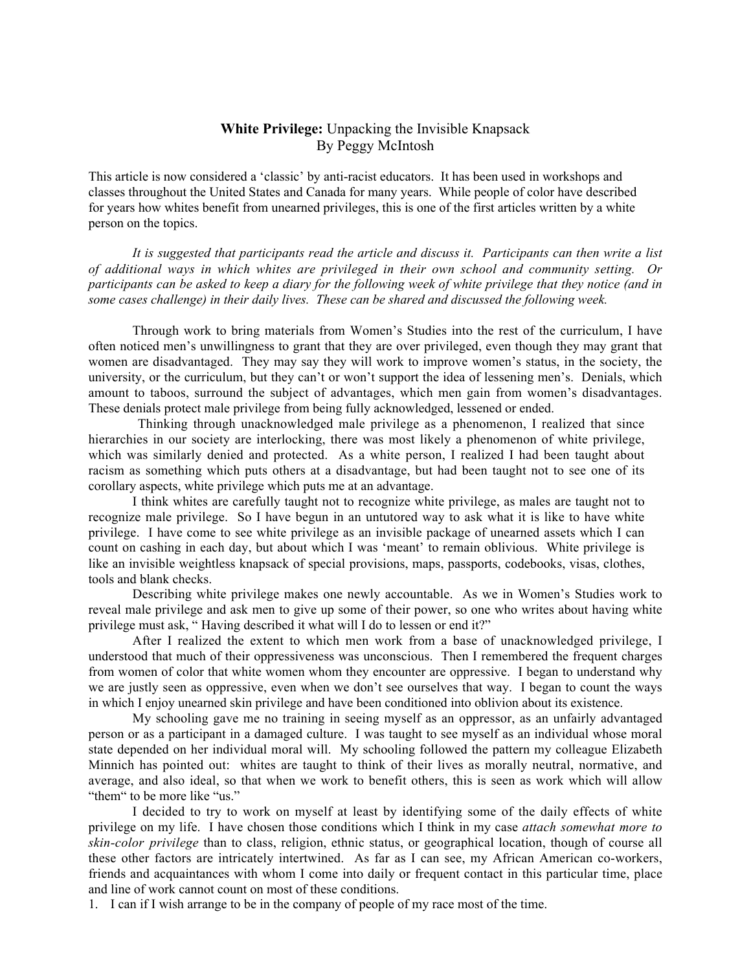## **White Privilege:** Unpacking the Invisible Knapsack By Peggy McIntosh

This article is now considered a 'classic' by anti-racist educators. It has been used in workshops and classes throughout the United States and Canada for many years. While people of color have described for years how whites benefit from unearned privileges, this is one of the first articles written by a white person on the topics.

*It is suggested that participants read the article and discuss it. Participants can then write a list of additional ways in which whites are privileged in their own school and community setting. Or participants can be asked to keep a diary for the following week of white privilege that they notice (and in some cases challenge) in their daily lives. These can be shared and discussed the following week.*

Through work to bring materials from Women's Studies into the rest of the curriculum, I have often noticed men's unwillingness to grant that they are over privileged, even though they may grant that women are disadvantaged. They may say they will work to improve women's status, in the society, the university, or the curriculum, but they can't or won't support the idea of lessening men's. Denials, which amount to taboos, surround the subject of advantages, which men gain from women's disadvantages. These denials protect male privilege from being fully acknowledged, lessened or ended.

Thinking through unacknowledged male privilege as a phenomenon, I realized that since hierarchies in our society are interlocking, there was most likely a phenomenon of white privilege, which was similarly denied and protected. As a white person, I realized I had been taught about racism as something which puts others at a disadvantage, but had been taught not to see one of its corollary aspects, white privilege which puts me at an advantage.

I think whites are carefully taught not to recognize white privilege, as males are taught not to recognize male privilege. So I have begun in an untutored way to ask what it is like to have white privilege. I have come to see white privilege as an invisible package of unearned assets which I can count on cashing in each day, but about which I was 'meant' to remain oblivious. White privilege is like an invisible weightless knapsack of special provisions, maps, passports, codebooks, visas, clothes, tools and blank checks.

Describing white privilege makes one newly accountable. As we in Women's Studies work to reveal male privilege and ask men to give up some of their power, so one who writes about having white privilege must ask, " Having described it what will I do to lessen or end it?"

After I realized the extent to which men work from a base of unacknowledged privilege, I understood that much of their oppressiveness was unconscious. Then I remembered the frequent charges from women of color that white women whom they encounter are oppressive. I began to understand why we are justly seen as oppressive, even when we don't see ourselves that way. I began to count the ways in which I enjoy unearned skin privilege and have been conditioned into oblivion about its existence.

My schooling gave me no training in seeing myself as an oppressor, as an unfairly advantaged person or as a participant in a damaged culture. I was taught to see myself as an individual whose moral state depended on her individual moral will. My schooling followed the pattern my colleague Elizabeth Minnich has pointed out: whites are taught to think of their lives as morally neutral, normative, and average, and also ideal, so that when we work to benefit others, this is seen as work which will allow "them" to be more like "us."

I decided to try to work on myself at least by identifying some of the daily effects of white privilege on my life. I have chosen those conditions which I think in my case *attach somewhat more to skin-color privilege* than to class, religion, ethnic status, or geographical location, though of course all these other factors are intricately intertwined. As far as I can see, my African American co-workers, friends and acquaintances with whom I come into daily or frequent contact in this particular time, place and line of work cannot count on most of these conditions.

1. I can if I wish arrange to be in the company of people of my race most of the time.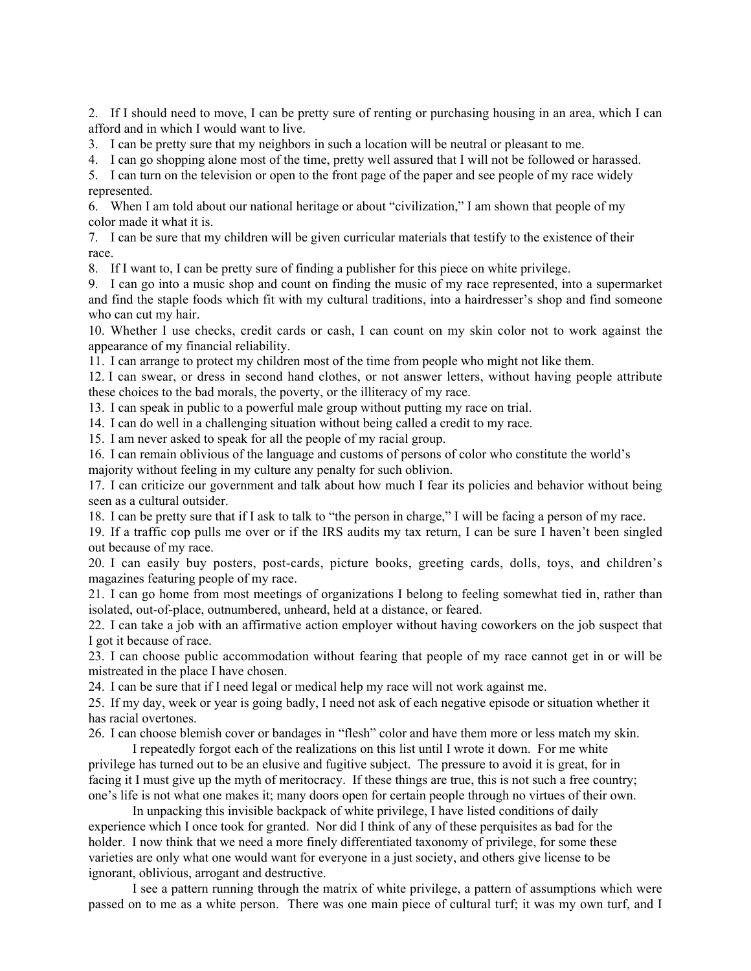2. If I should need to move, I can be pretty sure of renting or purchasing housing in an area, which I can afford and in which I would want to live.

3. I can be pretty sure that my neighbors in such a location will be neutral or pleasant to me.

4. I can go shopping alone most of the time, pretty well assured that I will not be followed or harassed.

5. I can turn on the television or open to the front page of the paper and see people of my race widely represented.

6. When I am told about our national heritage or about "civilization," I am shown that people of my color made it what it is.

7. I can be sure that my children will be given curricular materials that testify to the existence of their race.

8. If I want to, I can be pretty sure of finding a publisher for this piece on white privilege.

9. I can go into a music shop and count on finding the music of my race represented, into a supermarket and find the staple foods which fit with my cultural traditions, into a hairdresser's shop and find someone who can cut my hair.

10. Whether I use checks, credit cards or cash, I can count on my skin color not to work against the appearance of my financial reliability.

11. I can arrange to protect my children most of the time from people who might not like them.

12. I can swear, or dress in second hand clothes, or not answer letters, without having people attribute these choices to the bad morals, the poverty, or the illiteracy of my race.

13. I can speak in public to a powerful male group without putting my race on trial.

14. I can do well in a challenging situation without being called a credit to my race.

15. I am never asked to speak for all the people of my racial group.

16. I can remain oblivious of the language and customs of persons of color who constitute the world's majority without feeling in my culture any penalty for such oblivion.

17. I can criticize our government and talk about how much I fear its policies and behavior without being seen as a cultural outsider.

18. I can be pretty sure that if I ask to talk to "the person in charge," I will be facing a person of my race.

19. If a traffic cop pulls me over or if the IRS audits my tax return, I can be sure I haven't been singled out because of my race.

20. I can easily buy posters, post-cards, picture books, greeting cards, dolls, toys, and children's magazines featuring people of my race.

21. I can go home from most meetings of organizations I belong to feeling somewhat tied in, rather than isolated, out-of-place, outnumbered, unheard, held at a distance, or feared.

22. I can take a job with an affirmative action employer without having coworkers on the job suspect that I got it because of race.

23. I can choose public accommodation without fearing that people of my race cannot get in or will be mistreated in the place I have chosen.

24. I can be sure that if I need legal or medical help my race will not work against me.

25. If my day, week or year is going badly, I need not ask of each negative episode or situation whether it has racial overtones.

26. I can choose blemish cover or bandages in "flesh" color and have them more or less match my skin.

I repeatedly forgot each of the realizations on this list until I wrote it down. For me white privilege has turned out to be an elusive and fugitive subject. The pressure to avoid it is great, for in facing it I must give up the myth of meritocracy. If these things are true, this is not such a free country; one's life is not what one makes it; many doors open for certain people through no virtues of their own.

In unpacking this invisible backpack of white privilege, I have listed conditions of daily experience which I once took for granted. Nor did I think of any of these perquisites as bad for the holder. I now think that we need a more finely differentiated taxonomy of privilege, for some these varieties are only what one would want for everyone in a just society, and others give license to be ignorant, oblivious, arrogant and destructive.

I see a pattern running through the matrix of white privilege, a pattern of assumptions which were passed on to me as a white person. There was one main piece of cultural turf; it was my own turf, and I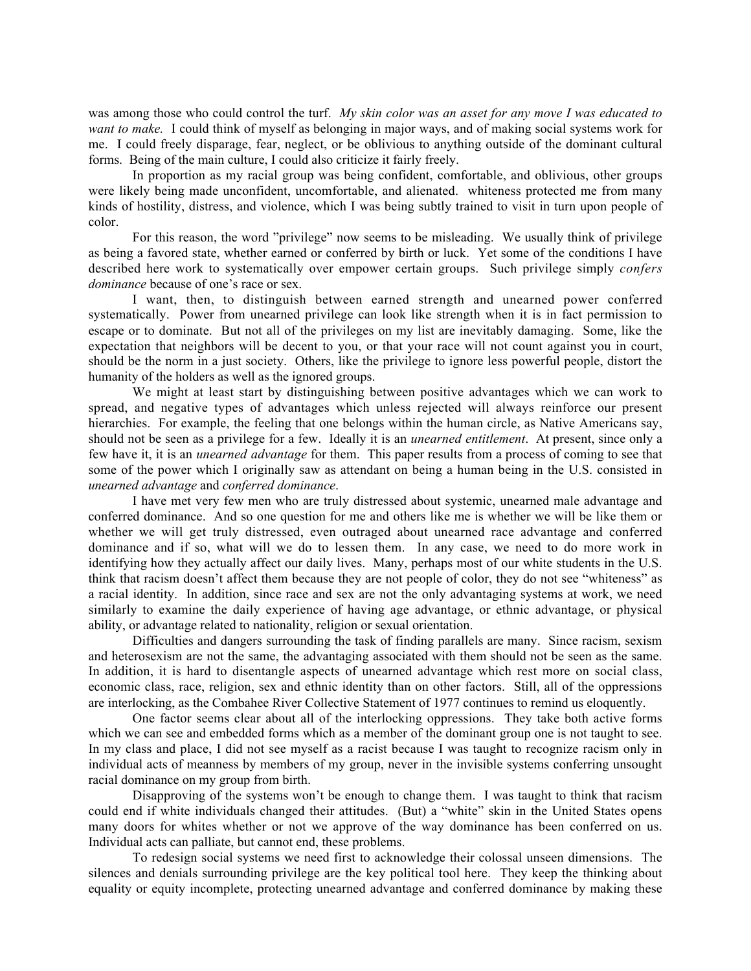was among those who could control the turf. *My skin color was an asset for any move I was educated to want to make.* I could think of myself as belonging in major ways, and of making social systems work for me. I could freely disparage, fear, neglect, or be oblivious to anything outside of the dominant cultural forms. Being of the main culture, I could also criticize it fairly freely.

In proportion as my racial group was being confident, comfortable, and oblivious, other groups were likely being made unconfident, uncomfortable, and alienated. whiteness protected me from many kinds of hostility, distress, and violence, which I was being subtly trained to visit in turn upon people of color.

For this reason, the word "privilege" now seems to be misleading. We usually think of privilege as being a favored state, whether earned or conferred by birth or luck. Yet some of the conditions I have described here work to systematically over empower certain groups. Such privilege simply *confers dominance* because of one's race or sex.

I want, then, to distinguish between earned strength and unearned power conferred systematically. Power from unearned privilege can look like strength when it is in fact permission to escape or to dominate. But not all of the privileges on my list are inevitably damaging. Some, like the expectation that neighbors will be decent to you, or that your race will not count against you in court, should be the norm in a just society. Others, like the privilege to ignore less powerful people, distort the humanity of the holders as well as the ignored groups.

We might at least start by distinguishing between positive advantages which we can work to spread, and negative types of advantages which unless rejected will always reinforce our present hierarchies. For example, the feeling that one belongs within the human circle, as Native Americans say, should not be seen as a privilege for a few. Ideally it is an *unearned entitlement*. At present, since only a few have it, it is an *unearned advantage* for them. This paper results from a process of coming to see that some of the power which I originally saw as attendant on being a human being in the U.S. consisted in *unearned advantage* and *conferred dominance*.

I have met very few men who are truly distressed about systemic, unearned male advantage and conferred dominance. And so one question for me and others like me is whether we will be like them or whether we will get truly distressed, even outraged about unearned race advantage and conferred dominance and if so, what will we do to lessen them. In any case, we need to do more work in identifying how they actually affect our daily lives. Many, perhaps most of our white students in the U.S. think that racism doesn't affect them because they are not people of color, they do not see "whiteness" as a racial identity. In addition, since race and sex are not the only advantaging systems at work, we need similarly to examine the daily experience of having age advantage, or ethnic advantage, or physical ability, or advantage related to nationality, religion or sexual orientation.

Difficulties and dangers surrounding the task of finding parallels are many. Since racism, sexism and heterosexism are not the same, the advantaging associated with them should not be seen as the same. In addition, it is hard to disentangle aspects of unearned advantage which rest more on social class, economic class, race, religion, sex and ethnic identity than on other factors. Still, all of the oppressions are interlocking, as the Combahee River Collective Statement of 1977 continues to remind us eloquently.

One factor seems clear about all of the interlocking oppressions. They take both active forms which we can see and embedded forms which as a member of the dominant group one is not taught to see. In my class and place, I did not see myself as a racist because I was taught to recognize racism only in individual acts of meanness by members of my group, never in the invisible systems conferring unsought racial dominance on my group from birth.

Disapproving of the systems won't be enough to change them. I was taught to think that racism could end if white individuals changed their attitudes. (But) a "white" skin in the United States opens many doors for whites whether or not we approve of the way dominance has been conferred on us. Individual acts can palliate, but cannot end, these problems.

To redesign social systems we need first to acknowledge their colossal unseen dimensions. The silences and denials surrounding privilege are the key political tool here. They keep the thinking about equality or equity incomplete, protecting unearned advantage and conferred dominance by making these